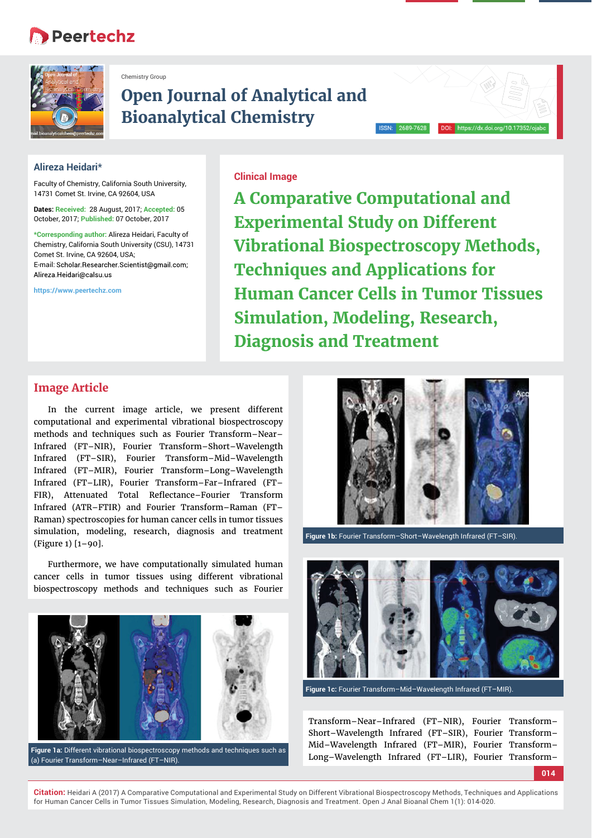## **Peertechz**



Chemistry Group

# **Open Journal of Analytical and Bioanalytical Chemistry**

#### **Alireza Heidari\***

Faculty of Chemistry, California South University, 14731 Comet St. Irvine, CA 92604, USA

**Dates: Received:** 28 August, 2017; **Accepted:** 05 October, 2017; **Published:** 07 October, 2017

**\*Corresponding author:** Alireza Heidari, Faculty of Chemistry, California South University (CSU), 14731 Comet St. Irvine, CA 92604, USA; E-mail: Scholar.Researcher.Scientist@gmail.com; Alireza.Heidari@calsu.us

**https://www.peertechz.com**

**Clinical Image**

**A Comparative Computational and Experimental Study on Different Vibrational Biospectroscopy Methods, Techniques and Applications for Human Cancer Cells in Tumor Tissues Simulation, Modeling, Research, Diagnosis and Treatment**

### **Image Article**

In the current image article, we present different computational and experimental vibrational biospectroscopy methods and techniques such as Fourier Transform–Near– Infrared (FT–NIR), Fourier Transform–Short–Wavelength Infrared (FT–SIR), Fourier Transform–Mid–Wavelength Infrared (FT–MIR), Fourier Transform–Long–Wavelength Infrared (FT–LIR), Fourier Transform–Far–Infrared (FT– FIR), Attenuated Total Reflectance–Fourier Transform Infrared (ATR–FTIR) and Fourier Transform–Raman (FT– Raman) spectroscopies for human cancer cells in tumor tissues simulation, modeling, research, diagnosis and treatment (Figure 1) [1–90].

Furthermore, we have computationally simulated human cancer cells in tumor tissues using different vibrational biospectroscopy methods and techniques such as Fourier



**Figure 1a:** Different vibrational biospectroscopy methods and techniques such as (a) Fourier Transform–Near–Infrared (FT–NIR).



**Figure 1b:** Fourier Transform–Short–Wavelength Infrared (FT–SIR).



**Figure 1c:** Fourier Transform–Mid–Wavelength Infrared (FT–MIR).

| Transform-Near-Infrared (FT-NIR), Fourier Transform-   |  |
|--------------------------------------------------------|--|
| Short-Wavelength Infrared (FT-SIR), Fourier Transform- |  |
| Mid-Wavelength Infrared (FT-MIR), Fourier Transform-   |  |
| Long-Wavelength Infrared (FT-LIR), Fourier Transform-  |  |

**<sup>014</sup>**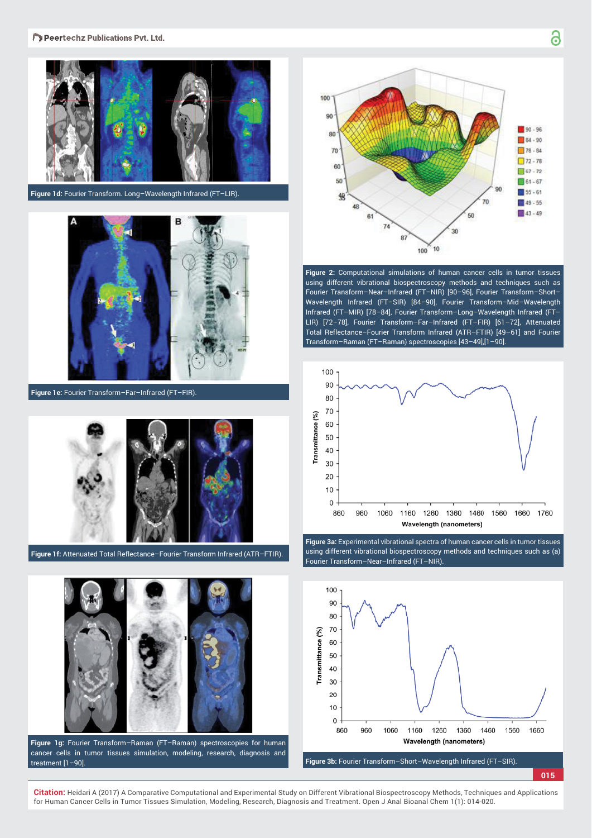

**Figure 1d:** Fourier Transform. Long–Wavelength Infrared (FT–LIR).



**Figure 1e:** Fourier Transform–Far–Infrared (FT–FIR).



Figure 1f: Attenuated Total Reflectance-Fourier Transform Infrared (ATR-FTIR).



**Figure 1g:** Fourier Transform–Raman (FT–Raman) spectroscopies for human cancer cells in tumor tissues simulation, modeling, research, diagnosis and treatment [1–90].



**Figure 2:** Computational simulations of human cancer cells in tumor tissues using different vibrational biospectroscopy methods and techniques such as Fourier Transform–Near–Infrared (FT–NIR) [90–96], Fourier Transform–Short– Wavelength Infrared (FT–SIR) [84–90], Fourier Transform–Mid–Wavelength Infrared (FT–MIR) [78–84], Fourier Transform–Long–Wavelength Infrared (FT– LIR) [72–78], Fourier Transform–Far–Infrared (FT–FIR) [61–72], Attenuated Total Reflectance-Fourier Transform Infrared (ATR-FTIR) [49-61] and Fourier Transform–Raman (FT–Raman) spectroscopies [43–49],[1–90].



**Figure 3a:** Experimental vibrational spectra of human cancer cells in tumor tissues using different vibrational biospectroscopy methods and techniques such as (a) Fourier Transform–Near–Infrared (FT–NIR).



**Figure 3b:** Fourier Transform–Short–Wavelength Infrared (FT–SIR).

**015**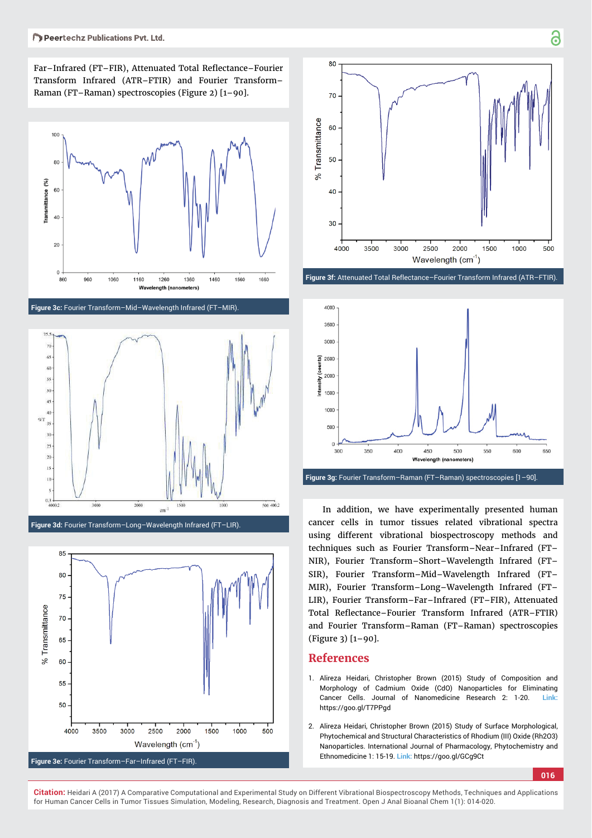Far-Infrared (FT-FIR), Attenuated Total Reflectance-Fourier Transform Infrared (ATR–FTIR) and Fourier Transform– Raman (FT–Raman) spectroscopies (Figure 2) [1–90].



**Figure 3c:** Fourier Transform–Mid–Wavelength Infrared (FT–MIR).







Figure 3f: Attenuated Total Reflectance-Fourier Transform Infrared (ATR-FTIR).



**Figure 3g:** Fourier Transform–Raman (FT–Raman) spectroscopies [1–90].

In addition, we have experimentally presented human cancer cells in tumor tissues related vibrational spectra using different vibrational biospectroscopy methods and techniques such as Fourier Transform–Near–Infrared (FT– NIR), Fourier Transform–Short–Wavelength Infrared (FT– SIR), Fourier Transform–Mid–Wavelength Infrared (FT– MIR), Fourier Transform–Long–Wavelength Infrared (FT– LIR), Fourier Transform–Far–Infrared (FT–FIR), Attenuated Total Reflectance–Fourier Transform Infrared (ATR–FTIR) and Fourier Transform–Raman (FT–Raman) spectroscopies (Figure 3) [1–90].

#### **References**

- 1. Alireza Heidari, Christopher Brown (2015) Study of Composition and Morphology of Cadmium Oxide (CdO) Nanoparticles for Eliminating Cancer Cells. Journal of Nanomedicine Research 2: 1-20. **Link:** https://goo.gl/T7PPgd
- 2. Alireza Heidari, Christopher Brown (2015) Study of Surface Morphological, Phytochemical and Structural Characteristics of Rhodium (III) Oxide (Rh2O3) Nanoparticles. International Journal of Pharmacology, Phytochemistry and Ethnomedicine 1: 15-19. **Link:** https://goo.gl/GCg9Ct

**016**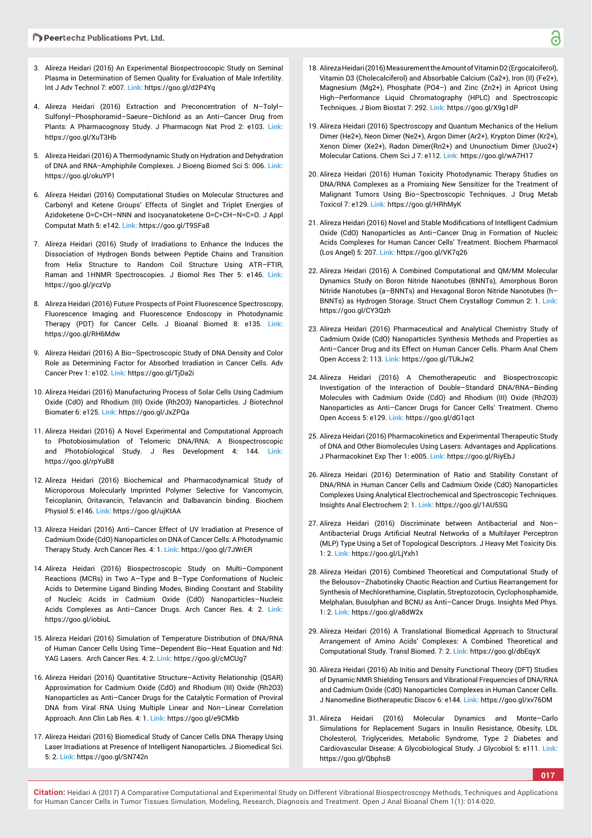- 3. Alireza Heidari (2016) An Experimental Biospectroscopic Study on Seminal Plasma in Determination of Semen Quality for Evaluation of Male Infertility. Int J Adv Technol 7: e007. **Link:** https://goo.gl/d2P4Yq
- 4. Alireza Heidari (2016) Extraction and Preconcentration of N–Tolyl– Sulfonyl–Phosphoramid–Saeure–Dichlorid as an Anti–Cancer Drug from Plants: A Pharmacognosy Study. J Pharmacogn Nat Prod 2: e103. **Link:** https://goo.gl/XuT3Hb
- 5. Alireza Heidari (2016) A Thermodynamic Study on Hydration and Dehydration of DNA and RNA−Amphiphile Complexes. J Bioeng Biomed Sci S: 006. **Link:** https://goo.gl/okuYP1
- 6. Alireza Heidari (2016) Computational Studies on Molecular Structures and Carbonyl and Ketene Groups' Effects of Singlet and Triplet Energies of Azidoketene O=C=CH–NNN and Isocyanatoketene O=C=CH–N=C=O. J Appl Computat Math 5: e142. **Link:** https://goo.gl/T9SFa8
- 7. Alireza Heidari (2016) Study of Irradiations to Enhance the Induces the Dissociation of Hydrogen Bonds between Peptide Chains and Transition from Helix Structure to Random Coil Structure Using ATR–FTIR, Raman and 1HNMR Spectroscopies. J Biomol Res Ther 5: e146. **Link:** https://goo.gl/jrczVp
- 8. Alireza Heidari (2016) Future Prospects of Point Fluorescence Spectroscopy, Fluorescence Imaging and Fluorescence Endoscopy in Photodynamic Therapy (PDT) for Cancer Cells. J Bioanal Biomed 8: e135. **Link:** https://goo.gl/RH6Mdw
- 9. Alireza Heidari (2016) A Bio–Spectroscopic Study of DNA Density and Color Role as Determining Factor for Absorbed Irradiation in Cancer Cells. Adv Cancer Prev 1: e102. **Link:** https://goo.gl/TjDa2i
- 10. Alireza Heidari (2016) Manufacturing Process of Solar Cells Using Cadmium Oxide (CdO) and Rhodium (III) Oxide (Rh2O3) Nanoparticles. J Biotechnol Biomater 6: e125. **Link:** https://goo.gl/JxZPQa
- 11. Alireza Heidari (2016) A Novel Experimental and Computational Approach to Photobiosimulation of Telomeric DNA/RNA: A Biospectroscopic and Photobiological Study. J Res Development 4: 144. **Link:** https://goo.gl/rpYuB8
- 12. Alireza Heidari (2016) Biochemical and Pharmacodynamical Study of Microporous Molecularly Imprinted Polymer Selective for Vancomycin, Teicoplanin, Oritavancin, Telavancin and Dalbavancin binding. Biochem Physiol 5: e146. **Link:** https://goo.gl/ujKtAA
- 13. Alireza Heidari (2016) Anti–Cancer Effect of UV Irradiation at Presence of Cadmium Oxide (CdO) Nanoparticles on DNA of Cancer Cells: A Photodynamic Therapy Study. Arch Cancer Res. 4: 1. **Link:** https://goo.gl/7JWrER
- 14. Alireza Heidari (2016) Biospectroscopic Study on Multi–Component Reactions (MCRs) in Two A–Type and B–Type Conformations of Nucleic Acids to Determine Ligand Binding Modes, Binding Constant and Stability of Nucleic Acids in Cadmium Oxide (CdO) Nanoparticles–Nucleic Acids Complexes as Anti–Cancer Drugs. Arch Cancer Res. 4: 2. **Link:** https://goo.gl/iobiuL
- 15. Alireza Heidari (2016) Simulation of Temperature Distribution of DNA/RNA of Human Cancer Cells Using Time–Dependent Bio–Heat Equation and Nd: YAG Lasers. Arch Cancer Res. 4: 2. **Link:** https://goo.gl/cMCUg7
- 16. Alireza Heidari (2016) Quantitative Structure–Activity Relationship (QSAR) Approximation for Cadmium Oxide (CdO) and Rhodium (III) Oxide (Rh2O3) Nanoparticles as Anti–Cancer Drugs for the Catalytic Formation of Proviral DNA from Viral RNA Using Multiple Linear and Non–Linear Correlation Approach. Ann Clin Lab Res. 4: 1. **Link:** https://goo.gl/e9CMkb
- 17. Alireza Heidari (2016) Biomedical Study of Cancer Cells DNA Therapy Using Laser Irradiations at Presence of Intelligent Nanoparticles. J Biomedical Sci. 5: 2. **Link:** https://goo.gl/SN742n
- 18. Alireza Heidari (2016) Measurement the Amount of Vitamin D2 (Ergocalciferol), Vitamin D3 (Cholecalciferol) and Absorbable Calcium (Ca2+), Iron (II) (Fe2+), Magnesium (Mg2+), Phosphate (PO4–) and Zinc (Zn2+) in Apricot Using High–Performance Liquid Chromatography (HPLC) and Spectroscopic Techniques. J Biom Biostat 7: 292. **Link:** https://goo.gl/X9g1dP
- 19. Alireza Heidari (2016) Spectroscopy and Quantum Mechanics of the Helium Dimer (He2+), Neon Dimer (Ne2+), Argon Dimer (Ar2+), Krypton Dimer (Kr2+), Xenon Dimer (Xe2+), Radon Dimer(Rn2+) and Ununoctium Dimer (Uuo2+) Molecular Cations. Chem Sci J 7: e112. **Link:** https://goo.gl/wA7H17
- 20. Alireza Heidari (2016) Human Toxicity Photodynamic Therapy Studies on DNA/RNA Complexes as a Promising New Sensitizer for the Treatment of Malignant Tumors Using Bio–Spectroscopic Techniques. J Drug Metab Toxicol 7: e129. **Link:** https://goo.gl/HRhMyK
- 21. Alireza Heidari (2016) Novel and Stable Modifications of Intelligent Cadmium Oxide (CdO) Nanoparticles as Anti–Cancer Drug in Formation of Nucleic Acids Complexes for Human Cancer Cells' Treatment. Biochem Pharmacol (Los Angel) 5: 207. **Link:** https://goo.gl/VK7q26
- 22. Alireza Heidari (2016) A Combined Computational and QM/MM Molecular Dynamics Study on Boron Nitride Nanotubes (BNNTs), Amorphous Boron Nitride Nanotubes (a–BNNTs) and Hexagonal Boron Nitride Nanotubes (h– BNNTs) as Hydrogen Storage. Struct Chem Crystallogr Commun 2: 1. **Link:** https://goo.gl/CY3Qzh
- 23. Alireza Heidari (2016) Pharmaceutical and Analytical Chemistry Study of Cadmium Oxide (CdO) Nanoparticles Synthesis Methods and Properties as Anti–Cancer Drug and its Effect on Human Cancer Cells. Pharm Anal Chem Open Access 2: 113. **Link:** https://goo.gl/TUkJw2
- 24. Alireza Heidari (2016) A Chemotherapeutic and Biospectroscopic Investigation of the Interaction of Double–Standard DNA/RNA–Binding Molecules with Cadmium Oxide (CdO) and Rhodium (III) Oxide (Rh2O3) Nanoparticles as Anti–Cancer Drugs for Cancer Cells' Treatment. Chemo Open Access 5: e129. **Link:** https://goo.gl/dG1qct
- 25. Alireza Heidari (2016) Pharmacokinetics and Experimental Therapeutic Study of DNA and Other Biomolecules Using Lasers: Advantages and Applications. J Pharmacokinet Exp Ther 1: e005. **Link:** https://goo.gl/RiyEbJ
- 26. Alireza Heidari (2016) Determination of Ratio and Stability Constant of DNA/RNA in Human Cancer Cells and Cadmium Oxide (CdO) Nanoparticles Complexes Using Analytical Electrochemical and Spectroscopic Techniques. Insights Anal Electrochem 2: 1. **Link:** https://goo.gl/1AU5SG
- 27. Alireza Heidari (2016) Discriminate between Antibacterial and Non– Antibacterial Drugs Artificial Neutral Networks of a Multilayer Perceptron (MLP) Type Using a Set of Topological Descriptors. J Heavy Met Toxicity Dis. 1: 2. **Link:** https://goo.gl/LjYxh1
- 28. Alireza Heidari (2016) Combined Theoretical and Computational Study of the Belousov–Zhabotinsky Chaotic Reaction and Curtius Rearrangement for Synthesis of Mechlorethamine, Cisplatin, Streptozotocin, Cyclophosphamide, Melphalan, Busulphan and BCNU as Anti–Cancer Drugs. Insights Med Phys. 1: 2. **Link:** https://goo.gl/a8dW2x
- 29. Alireza Heidari (2016) A Translational Biomedical Approach to Structural Arrangement of Amino Acids' Complexes: A Combined Theoretical and Computational Study. Transl Biomed. 7: 2. **Link:** https://goo.gl/dbEqyX
- 30. Alireza Heidari (2016) Ab Initio and Density Functional Theory (DFT) Studies of Dynamic NMR Shielding Tensors and Vibrational Frequencies of DNA/RNA and Cadmium Oxide (CdO) Nanoparticles Complexes in Human Cancer Cells. J Nanomedine Biotherapeutic Discov 6: e144. **Link:** https://goo.gl/xv76DM
- 31. Alireza Heidari (2016) Molecular Dynamics and Monte–Carlo Simulations for Replacement Sugars in Insulin Resistance, Obesity, LDL Cholesterol, Triglycerides, Metabolic Syndrome, Type 2 Diabetes and Cardiovascular Disease: A Glycobiological Study. J Glycobiol 5: e111. **Link:** https://goo.gl/QbphsB

**017**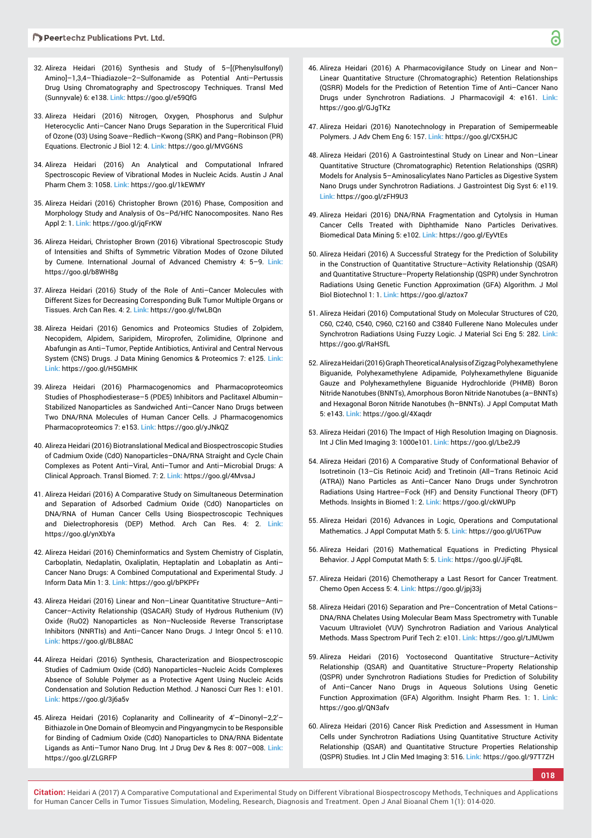- 32. Alireza Heidari (2016) Synthesis and Study of 5–[(Phenylsulfonyl) Amino]–1,3,4–Thiadiazole–2–Sulfonamide as Potential Anti–Pertussis Drug Using Chromatography and Spectroscopy Techniques. Transl Med (Sunnyvale) 6: e138. **Link:** https://goo.gl/e59QfG
- 33. Alireza Heidari (2016) Nitrogen, Oxygen, Phosphorus and Sulphur Heterocyclic Anti–Cancer Nano Drugs Separation in the Supercritical Fluid of Ozone (O3) Using Soave–Redlich–Kwong (SRK) and Pang–Robinson (PR) Equations. Electronic J Biol 12: 4. **Link:** https://goo.gl/MVG6NS
- 34. Alireza Heidari (2016) An Analytical and Computational Infrared Spectroscopic Review of Vibrational Modes in Nucleic Acids. Austin J Anal Pharm Chem 3: 1058. **Link:** https://goo.gl/1kEWMY
- 35. Alireza Heidari (2016) Christopher Brown (2016) Phase, Composition and Morphology Study and Analysis of Os–Pd/HfC Nanocomposites. Nano Res Appl 2: 1. **Link:** https://goo.gl/jqFrKW
- 36. Alireza Heidari, Christopher Brown (2016) Vibrational Spectroscopic Study of Intensities and Shifts of Symmetric Vibration Modes of Ozone Diluted by Cumene. International Journal of Advanced Chemistry 4: 5–9. **Link:** https://goo.gl/b8WH8g
- 37. Alireza Heidari (2016) Study of the Role of Anti–Cancer Molecules with Different Sizes for Decreasing Corresponding Bulk Tumor Multiple Organs or Tissues. Arch Can Res. 4: 2. **Link:** https://goo.gl/fwLBQn
- 38. Alireza Heidari (2016) Genomics and Proteomics Studies of Zolpidem, Necopidem, Alpidem, Saripidem, Miroprofen, Zolimidine, Olprinone and Abafungin as Anti–Tumor, Peptide Antibiotics, Antiviral and Central Nervous System (CNS) Drugs. J Data Mining Genomics & Proteomics 7: e125. **Link: Link:** https://goo.gl/H5GMHK
- 39. Alireza Heidari (2016) Pharmacogenomics and Pharmacoproteomics Studies of Phosphodiesterase–5 (PDE5) Inhibitors and Paclitaxel Albumin– Stabilized Nanoparticles as Sandwiched Anti–Cancer Nano Drugs between Two DNA/RNA Molecules of Human Cancer Cells. J Pharmacogenomics Pharmacoproteomics 7: e153. **Link:** https://goo.gl/yJNkQZ
- 40. Alireza Heidari (2016) Biotranslational Medical and Biospectroscopic Studies of Cadmium Oxide (CdO) Nanoparticles–DNA/RNA Straight and Cycle Chain Complexes as Potent Anti–Viral, Anti–Tumor and Anti–Microbial Drugs: A Clinical Approach. Transl Biomed. 7: 2. **Link:** https://goo.gl/4MvsaJ
- 41. Alireza Heidari (2016) A Comparative Study on Simultaneous Determination and Separation of Adsorbed Cadmium Oxide (CdO) Nanoparticles on DNA/RNA of Human Cancer Cells Using Biospectroscopic Techniques and Dielectrophoresis (DEP) Method. Arch Can Res. 4: 2. **Link:**  https://goo.gl/ynXbYa
- 42. Alireza Heidari (2016) Cheminformatics and System Chemistry of Cisplatin, Carboplatin, Nedaplatin, Oxaliplatin, Heptaplatin and Lobaplatin as Anti– Cancer Nano Drugs: A Combined Computational and Experimental Study. J Inform Data Min 1: 3. **Link:** https://goo.gl/bPKPFr
- 43. Alireza Heidari (2016) Linear and Non–Linear Quantitative Structure–Anti– Cancer–Activity Relationship (QSACAR) Study of Hydrous Ruthenium (IV) Oxide (RuO2) Nanoparticles as Non–Nucleoside Reverse Transcriptase Inhibitors (NNRTIs) and Anti–Cancer Nano Drugs. J Integr Oncol 5: e110. **Link:** https://goo.gl/BL88AC
- 44. Alireza Heidari (2016) Synthesis, Characterization and Biospectroscopic Studies of Cadmium Oxide (CdO) Nanoparticles–Nucleic Acids Complexes Absence of Soluble Polymer as a Protective Agent Using Nucleic Acids Condensation and Solution Reduction Method. J Nanosci Curr Res 1: e101. **Link:** https://goo.gl/3j6a5v
- 45. Alireza Heidari (2016) Coplanarity and Collinearity of 4'–Dinonyl–2,2'– Bithiazole in One Domain of Bleomycin and Pingyangmycin to be Responsible for Binding of Cadmium Oxide (CdO) Nanoparticles to DNA/RNA Bidentate Ligands as Anti–Tumor Nano Drug. Int J Drug Dev & Res 8: 007–008. **Link:** https://goo.gl/ZLGRFP
- 46. Alireza Heidari (2016) A Pharmacovigilance Study on Linear and Non– Linear Quantitative Structure (Chromatographic) Retention Relationships (QSRR) Models for the Prediction of Retention Time of Anti–Cancer Nano Drugs under Synchrotron Radiations. J Pharmacovigil 4: e161. **Link:** https://goo.gl/GJgTKz
- 47. Alireza Heidari (2016) Nanotechnology in Preparation of Semipermeable Polymers. J Adv Chem Eng 6: 157. **Link:** https://goo.gl/CX5HJC
- 48. Alireza Heidari (2016) A Gastrointestinal Study on Linear and Non–Linear Quantitative Structure (Chromatographic) Retention Relationships (QSRR) Models for Analysis 5–Aminosalicylates Nano Particles as Digestive System Nano Drugs under Synchrotron Radiations. J Gastrointest Dig Syst 6: e119. **Link:** https://goo.gl/zFH9U3
- 49. Alireza Heidari (2016) DNA/RNA Fragmentation and Cytolysis in Human Cancer Cells Treated with Diphthamide Nano Particles Derivatives. Biomedical Data Mining 5: e102. **Link:** https://goo.gl/EyVtEs
- 50. Alireza Heidari (2016) A Successful Strategy for the Prediction of Solubility in the Construction of Quantitative Structure–Activity Relationship (QSAR) and Quantitative Structure–Property Relationship (QSPR) under Synchrotron Radiations Using Genetic Function Approximation (GFA) Algorithm. J Mol Biol Biotechnol 1: 1. **Link:** https://goo.gl/aztox7
- 51. Alireza Heidari (2016) Computational Study on Molecular Structures of C20, C60, C240, C540, C960, C2160 and C3840 Fullerene Nano Molecules under Synchrotron Radiations Using Fuzzy Logic. J Material Sci Eng 5: 282. **Link:** https://goo.gl/RaHSfL
- 52. Alireza Heidari (2016) Graph Theoretical Analysis of Zigzag Polyhexamethylene Biguanide, Polyhexamethylene Adipamide, Polyhexamethylene Biguanide Gauze and Polyhexamethylene Biguanide Hydrochloride (PHMB) Boron Nitride Nanotubes (BNNTs), Amorphous Boron Nitride Nanotubes (a–BNNTs) and Hexagonal Boron Nitride Nanotubes (h–BNNTs). J Appl Computat Math 5: e143. **Link:** https://goo.gl/4Xaqdr
- 53. Alireza Heidari (2016) The Impact of High Resolution Imaging on Diagnosis. Int J Clin Med Imaging 3: 1000e101. **Link:** https://goo.gl/Lbe2J9
- 54. Alireza Heidari (2016) A Comparative Study of Conformational Behavior of Isotretinoin (13–Cis Retinoic Acid) and Tretinoin (All–Trans Retinoic Acid (ATRA)) Nano Particles as Anti–Cancer Nano Drugs under Synchrotron Radiations Using Hartree–Fock (HF) and Density Functional Theory (DFT) Methods. Insights in Biomed 1: 2. **Link:** https://goo.gl/ckWUPp
- 55. Alireza Heidari (2016) Advances in Logic, Operations and Computational Mathematics. J Appl Computat Math 5: 5. **Link:** https://goo.gl/U6TPuw
- 56. Alireza Heidari (2016) Mathematical Equations in Predicting Physical Behavior. J Appl Computat Math 5: 5. **Link:** https://goo.gl/JjFq8L
- 57. Alireza Heidari (2016) Chemotherapy a Last Resort for Cancer Treatment. Chemo Open Access 5: 4. **Link:** https://goo.gl/jpj33j
- 58. Alireza Heidari (2016) Separation and Pre–Concentration of Metal Cations– DNA/RNA Chelates Using Molecular Beam Mass Spectrometry with Tunable Vacuum Ultraviolet (VUV) Synchrotron Radiation and Various Analytical Methods. Mass Spectrom Purif Tech 2: e101. **Link:** https://goo.gl/tJMUwm
- 59. Alireza Heidari (2016) Yoctosecond Quantitative Structure–Activity Relationship (QSAR) and Quantitative Structure–Property Relationship (QSPR) under Synchrotron Radiations Studies for Prediction of Solubility of Anti–Cancer Nano Drugs in Aqueous Solutions Using Genetic Function Approximation (GFA) Algorithm. Insight Pharm Res. 1: 1. **Link:** https://goo.gl/QN3afv
- 60. Alireza Heidari (2016) Cancer Risk Prediction and Assessment in Human Cells under Synchrotron Radiations Using Quantitative Structure Activity Relationship (QSAR) and Quantitative Structure Properties Relationship (QSPR) Studies. Int J Clin Med Imaging 3: 516. **Link:** https://goo.gl/97T7ZH

**018**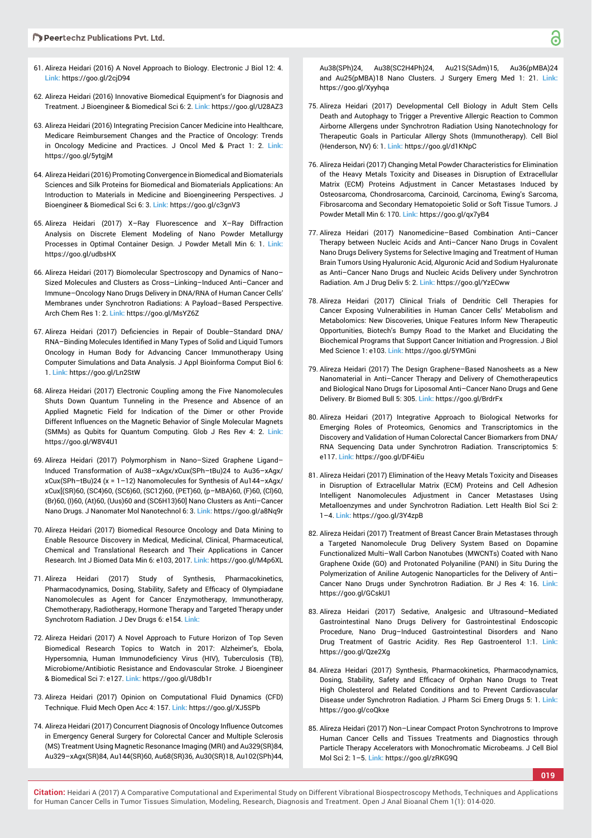- 61. Alireza Heidari (2016) A Novel Approach to Biology. Electronic J Biol 12: 4. **Link:** https://goo.gl/2cjD94
- 62. Alireza Heidari (2016) Innovative Biomedical Equipment's for Diagnosis and Treatment. J Bioengineer & Biomedical Sci 6: 2. **Link:** https://goo.gl/U28AZ3
- 63. Alireza Heidari (2016) Integrating Precision Cancer Medicine into Healthcare, Medicare Reimbursement Changes and the Practice of Oncology: Trends in Oncology Medicine and Practices. J Oncol Med & Pract 1: 2. **Link:** https://goo.gl/5ytgjM
- 64. Alireza Heidari (2016) Promoting Convergence in Biomedical and Biomaterials Sciences and Silk Proteins for Biomedical and Biomaterials Applications: An Introduction to Materials in Medicine and Bioengineering Perspectives. J Bioengineer & Biomedical Sci 6: 3. **Link:** https://goo.gl/c3gnV3
- 65. Alireza Heidari (2017) X–Ray Fluorescence and X–Ray Diffraction Analysis on Discrete Element Modeling of Nano Powder Metallurgy Processes in Optimal Container Design. J Powder Metall Min 6: 1. **Link:** https://goo.gl/udbsHX
- 66. Alireza Heidari (2017) Biomolecular Spectroscopy and Dynamics of Nano– Sized Molecules and Clusters as Cross–Linking–Induced Anti–Cancer and Immune–Oncology Nano Drugs Delivery in DNA/RNA of Human Cancer Cells' Membranes under Synchrotron Radiations: A Payload–Based Perspective. Arch Chem Res 1: 2. **Link:** https://goo.gl/MsYZ6Z
- 67. Alireza Heidari (2017) Deficiencies in Repair of Double-Standard DNA/ RNA-Binding Molecules Identified in Many Types of Solid and Liquid Tumors Oncology in Human Body for Advancing Cancer Immunotherapy Using Computer Simulations and Data Analysis. J Appl Bioinforma Comput Biol 6: 1. **Link:** https://goo.gl/Ln2StW
- 68. Alireza Heidari (2017) Electronic Coupling among the Five Nanomolecules Shuts Down Quantum Tunneling in the Presence and Absence of an Applied Magnetic Field for Indication of the Dimer or other Provide Different Influences on the Magnetic Behavior of Single Molecular Magnets (SMMs) as Qubits for Quantum Computing. Glob J Res Rev 4: 2. **Link:** https://goo.gl/W8V4U1
- 69. Alireza Heidari (2017) Polymorphism in Nano–Sized Graphene Ligand– Induced Transformation of Au38–xAgx/xCux(SPh–tBu)24 to Au36–xAgx/ xCux(SPh–tBu)24 (x = 1–12) Nanomolecules for Synthesis of Au144–xAgx/ xCux[(SR)60, (SC4)60, (SC6)60, (SC12)60, (PET)60, (p–MBA)60, (F)60, (Cl)60, (Br)60, (I)60, (At)60, (Uus)60 and (SC6H13)60] Nano Clusters as Anti–Cancer Nano Drugs. J Nanomater Mol Nanotechnol 6: 3. **Link:** https://goo.gl/a8Nq9r
- 70. Alireza Heidari (2017) Biomedical Resource Oncology and Data Mining to Enable Resource Discovery in Medical, Medicinal, Clinical, Pharmaceutical, Chemical and Translational Research and Their Applications in Cancer Research. Int J Biomed Data Min 6: e103, 2017. **Link:** https://goo.gl/M4p6XL
- 71. Alireza Heidari (2017) Study of Synthesis, Pharmacokinetics, Pharmacodynamics, Dosing, Stability, Safety and Efficacy of Olympiadane Nanomolecules as Agent for Cancer Enzymotherapy, Immunotherapy, Chemotherapy, Radiotherapy, Hormone Therapy and Targeted Therapy under Synchrotorn Radiation. J Dev Drugs 6: e154. **Link:**
- 72. Alireza Heidari (2017) A Novel Approach to Future Horizon of Top Seven Biomedical Research Topics to Watch in 2017: Alzheimer's, Ebola, Hypersomnia, Human Immunodeficiency Virus (HIV), Tuberculosis (TB), Microbiome/Antibiotic Resistance and Endovascular Stroke. J Bioengineer & Biomedical Sci 7: e127. **Link:** https://goo.gl/U8db1r
- 73. Alireza Heidari (2017) Opinion on Computational Fluid Dynamics (CFD) Technique. Fluid Mech Open Acc 4: 157. **Link:** https://goo.gl/XJ5SPb
- 74. Alireza Heidari (2017) Concurrent Diagnosis of Oncology Influence Outcomes in Emergency General Surgery for Colorectal Cancer and Multiple Sclerosis (MS) Treatment Using Magnetic Resonance Imaging (MRI) and Au329(SR)84, Au329–xAgx(SR)84, Au144(SR)60, Au68(SR)36, Au30(SR)18, Au102(SPh)44,

Au38(SPh)24, Au38(SC2H4Ph)24, Au21S(SAdm)15, Au36(pMBA)24 and Au25(pMBA)18 Nano Clusters. J Surgery Emerg Med 1: 21. **Link:** https://goo.gl/Xyyhqa

- 75. Alireza Heidari (2017) Developmental Cell Biology in Adult Stem Cells Death and Autophagy to Trigger a Preventive Allergic Reaction to Common Airborne Allergens under Synchrotron Radiation Using Nanotechnology for Therapeutic Goals in Particular Allergy Shots (Immunotherapy). Cell Biol (Henderson, NV) 6: 1. **Link:** https://goo.gl/d1KNpC
- 76. Alireza Heidari (2017) Changing Metal Powder Characteristics for Elimination of the Heavy Metals Toxicity and Diseases in Disruption of Extracellular Matrix (ECM) Proteins Adjustment in Cancer Metastases Induced by Osteosarcoma, Chondrosarcoma, Carcinoid, Carcinoma, Ewing's Sarcoma, Fibrosarcoma and Secondary Hematopoietic Solid or Soft Tissue Tumors. J Powder Metall Min 6: 170. **Link:** https://goo.gl/qx7yB4
- 77. Alireza Heidari (2017) Nanomedicine–Based Combination Anti–Cancer Therapy between Nucleic Acids and Anti–Cancer Nano Drugs in Covalent Nano Drugs Delivery Systems for Selective Imaging and Treatment of Human Brain Tumors Using Hyaluronic Acid, Alguronic Acid and Sodium Hyaluronate as Anti–Cancer Nano Drugs and Nucleic Acids Delivery under Synchrotron Radiation. Am J Drug Deliv 5: 2. **Link:** https://goo.gl/YzECww
- 78. Alireza Heidari (2017) Clinical Trials of Dendritic Cell Therapies for Cancer Exposing Vulnerabilities in Human Cancer Cells' Metabolism and Metabolomics: New Discoveries, Unique Features Inform New Therapeutic Opportunities, Biotech's Bumpy Road to the Market and Elucidating the Biochemical Programs that Support Cancer Initiation and Progression. J Biol Med Science 1: e103. **Link:** https://goo.gl/5YMGni
- 79. Alireza Heidari (2017) The Design Graphene–Based Nanosheets as a New Nanomaterial in Anti–Cancer Therapy and Delivery of Chemotherapeutics and Biological Nano Drugs for Liposomal Anti–Cancer Nano Drugs and Gene Delivery. Br Biomed Bull 5: 305. **Link:** https://goo.gl/BrdrFx
- 80. Alireza Heidari (2017) Integrative Approach to Biological Networks for Emerging Roles of Proteomics, Genomics and Transcriptomics in the Discovery and Validation of Human Colorectal Cancer Biomarkers from DNA/ RNA Sequencing Data under Synchrotron Radiation. Transcriptomics 5: e117. **Link:** https://goo.gl/DF4iEu
- 81. Alireza Heidari (2017) Elimination of the Heavy Metals Toxicity and Diseases in Disruption of Extracellular Matrix (ECM) Proteins and Cell Adhesion Intelligent Nanomolecules Adjustment in Cancer Metastases Using Metalloenzymes and under Synchrotron Radiation. Lett Health Biol Sci 2: 1–4. **Link:** https://goo.gl/3Y4zpB
- 82. Alireza Heidari (2017) Treatment of Breast Cancer Brain Metastases through a Targeted Nanomolecule Drug Delivery System Based on Dopamine Functionalized Multi–Wall Carbon Nanotubes (MWCNTs) Coated with Nano Graphene Oxide (GO) and Protonated Polyaniline (PANI) in Situ During the Polymerization of Aniline Autogenic Nanoparticles for the Delivery of Anti– Cancer Nano Drugs under Synchrotron Radiation. Br J Res 4: 16. **Link:** https://goo.gl/GCskU1
- 83. Alireza Heidari (2017) Sedative, Analgesic and Ultrasound–Mediated Gastrointestinal Nano Drugs Delivery for Gastrointestinal Endoscopic Procedure, Nano Drug–Induced Gastrointestinal Disorders and Nano Drug Treatment of Gastric Acidity. Res Rep Gastroenterol 1:1. **Link:** https://goo.gl/Qze2Xg
- 84. Alireza Heidari (2017) Synthesis, Pharmacokinetics, Pharmacodynamics, Dosing, Stability, Safety and Efficacy of Orphan Nano Drugs to Treat High Cholesterol and Related Conditions and to Prevent Cardiovascular Disease under Synchrotron Radiation. J Pharm Sci Emerg Drugs 5: 1. **Link:** https://goo.gl/coQkxe
- 85. Alireza Heidari (2017) Non–Linear Compact Proton Synchrotrons to Improve Human Cancer Cells and Tissues Treatments and Diagnostics through Particle Therapy Accelerators with Monochromatic Microbeams. J Cell Biol Mol Sci 2: 1–5. **Link:** https://goo.gl/zRKG9Q

**019**